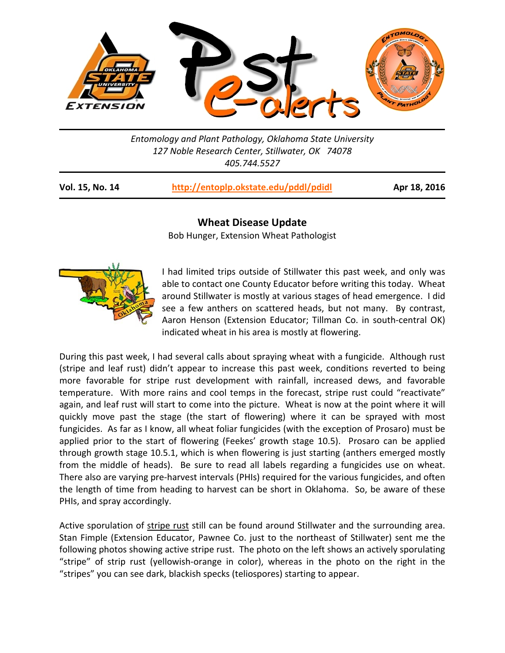

*Entomology and Plant Pathology, Oklahoma State University 127 Noble Research Center, Stillwater, OK 74078 405.744.5527* 

| Vol. 15, No. 14 | http://entoplp.okstate.edu/pddl/pdidl |
|-----------------|---------------------------------------|
|-----------------|---------------------------------------|

**Vol. 15, No. 14 http://entoplp.okstate.edu/pddl/pdidl Apr 18, 2016**

## **Wheat Disease Update**

Bob Hunger, Extension Wheat Pathologist



I had limited trips outside of Stillwater this past week, and only was able to contact one County Educator before writing this today. Wheat around Stillwater is mostly at various stages of head emergence. I did see a few anthers on scattered heads, but not many. By contrast, Aaron Henson (Extension Educator; Tillman Co. in south‐central OK) indicated wheat in his area is mostly at flowering.

During this past week, I had several calls about spraying wheat with a fungicide. Although rust (stripe and leaf rust) didn't appear to increase this past week, conditions reverted to being more favorable for stripe rust development with rainfall, increased dews, and favorable temperature. With more rains and cool temps in the forecast, stripe rust could "reactivate" again, and leaf rust will start to come into the picture. Wheat is now at the point where it will quickly move past the stage (the start of flowering) where it can be sprayed with most fungicides. As far as I know, all wheat foliar fungicides (with the exception of Prosaro) must be applied prior to the start of flowering (Feekes' growth stage 10.5). Prosaro can be applied through growth stage 10.5.1, which is when flowering is just starting (anthers emerged mostly from the middle of heads). Be sure to read all labels regarding a fungicides use on wheat. There also are varying pre‐harvest intervals (PHIs) required for the various fungicides, and often the length of time from heading to harvest can be short in Oklahoma. So, be aware of these PHIs, and spray accordingly.

Active sporulation of stripe rust still can be found around Stillwater and the surrounding area. Stan Fimple (Extension Educator, Pawnee Co. just to the northeast of Stillwater) sent me the following photos showing active stripe rust. The photo on the left shows an actively sporulating "stripe" of strip rust (yellowish‐orange in color), whereas in the photo on the right in the "stripes" you can see dark, blackish specks (teliospores) starting to appear.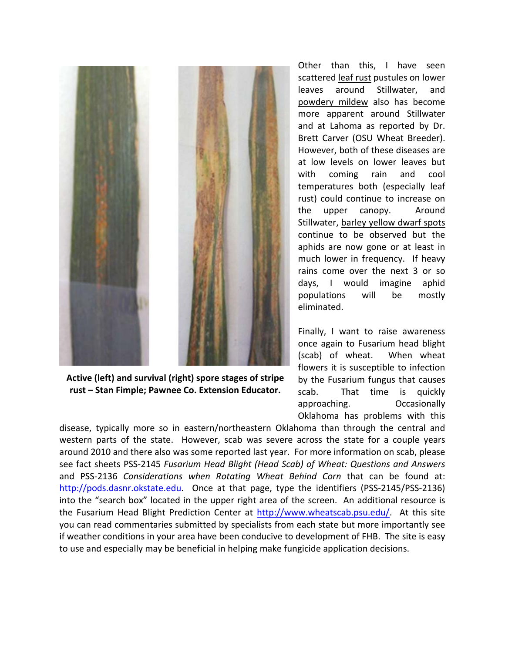

**Active (left) and survival (right) spore stages of stripe rust – Stan Fimple; Pawnee Co. Extension Educator.** 

Other than this, I have seen scattered leaf rust pustules on lower leaves around Stillwater, and powdery mildew also has become more apparent around Stillwater and at Lahoma as reported by Dr. Brett Carver (OSU Wheat Breeder). However, both of these diseases are at low levels on lower leaves but with coming rain and cool temperatures both (especially leaf rust) could continue to increase on the upper canopy. Around Stillwater, barley yellow dwarf spots continue to be observed but the aphids are now gone or at least in much lower in frequency. If heavy rains come over the next 3 or so days, I would imagine aphid populations will be mostly eliminated.

Finally, I want to raise awareness once again to Fusarium head blight (scab) of wheat. When wheat flowers it is susceptible to infection by the Fusarium fungus that causes scab. That time is quickly approaching. Occasionally Oklahoma has problems with this

disease, typically more so in eastern/northeastern Oklahoma than through the central and western parts of the state. However, scab was severe across the state for a couple years around 2010 and there also was some reported last year. For more information on scab, please see fact sheets PSS‐2145 *Fusarium Head Blight (Head Scab) of Wheat: Questions and Answers* and PSS‐2136 *Considerations when Rotating Wheat Behind Corn* that can be found at: http://pods.dasnr.okstate.edu. Once at that page, type the identifiers (PSS-2145/PSS-2136) into the "search box" located in the upper right area of the screen. An additional resource is the Fusarium Head Blight Prediction Center at http://www.wheatscab.psu.edu/. At this site you can read commentaries submitted by specialists from each state but more importantly see if weather conditions in your area have been conducive to development of FHB. The site is easy to use and especially may be beneficial in helping make fungicide application decisions.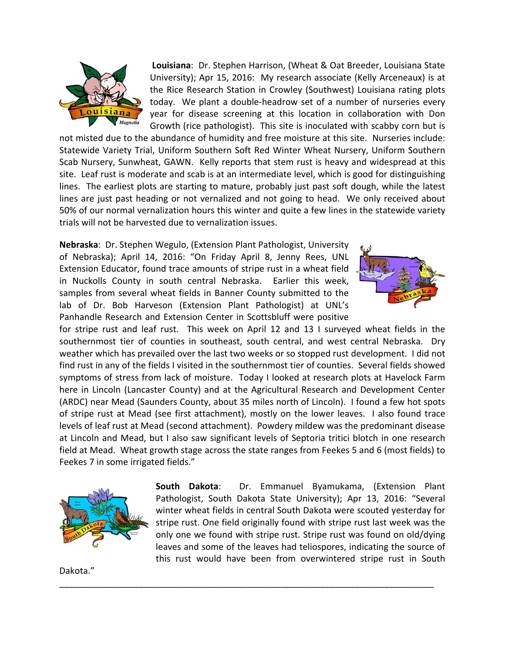

**Louisiana**: Dr. Stephen Harrison, (Wheat & Oat Breeder, Louisiana State University); Apr 15, 2016: My research associate (Kelly Arceneaux) is at the Rice Research Station in Crowley (Southwest) Louisiana rating plots today. We plant a double‐headrow set of a number of nurseries every year for disease screening at this location in collaboration with Don Growth (rice pathologist). This site is inoculated with scabby corn but is

not misted due to the abundance of humidity and free moisture at this site. Nurseries include: Statewide Variety Trial, Uniform Southern Soft Red Winter Wheat Nursery, Uniform Southern Scab Nursery, Sunwheat, GAWN. Kelly reports that stem rust is heavy and widespread at this site. Leaf rust is moderate and scab is at an intermediate level, which is good for distinguishing lines. The earliest plots are starting to mature, probably just past soft dough, while the latest lines are just past heading or not vernalized and not going to head. We only received about 50% of our normal vernalization hours this winter and quite a few lines in the statewide variety trials will not be harvested due to vernalization issues.

**Nebraska**: Dr. Stephen Wegulo, (Extension Plant Pathologist, University of Nebraska); April 14, 2016: "On Friday April 8, Jenny Rees, UNL Extension Educator, found trace amounts of stripe rust in a wheat field in Nuckolls County in south central Nebraska. Earlier this week, samples from several wheat fields in Banner County submitted to the lab of Dr. Bob Harveson (Extension Plant Pathologist) at UNL's Panhandle Research and Extension Center in Scottsbluff were positive



for stripe rust and leaf rust. This week on April 12 and 13 I surveyed wheat fields in the southernmost tier of counties in southeast, south central, and west central Nebraska. Dry weather which has prevailed over the last two weeks or so stopped rust development. I did not find rust in any of the fields I visited in the southernmost tier of counties. Several fields showed symptoms of stress from lack of moisture. Today I looked at research plots at Havelock Farm here in Lincoln (Lancaster County) and at the Agricultural Research and Development Center (ARDC) near Mead (Saunders County, about 35 miles north of Lincoln). I found a few hot spots of stripe rust at Mead (see first attachment), mostly on the lower leaves. I also found trace levels of leaf rust at Mead (second attachment). Powdery mildew was the predominant disease at Lincoln and Mead, but I also saw significant levels of Septoria tritici blotch in one research field at Mead. Wheat growth stage across the state ranges from Feekes 5 and 6 (most fields) to Feekes 7 in some irrigated fields."

\_\_\_\_\_\_\_\_\_\_\_\_\_\_\_\_\_\_\_\_\_\_\_\_\_\_\_\_\_\_\_\_\_\_\_\_\_\_\_\_\_\_\_\_\_\_\_\_\_\_\_\_\_\_\_\_\_\_\_\_\_\_\_\_\_\_\_\_\_\_\_\_\_\_\_\_



**South Dakota**: Dr. Emmanuel Byamukama, (Extension Plant Pathologist, South Dakota State University); Apr 13, 2016: "Several winter wheat fields in central South Dakota were scouted yesterday for stripe rust. One field originally found with stripe rust last week was the only one we found with stripe rust. Stripe rust was found on old/dying leaves and some of the leaves had teliospores, indicating the source of this rust would have been from overwintered stripe rust in South

Dakota."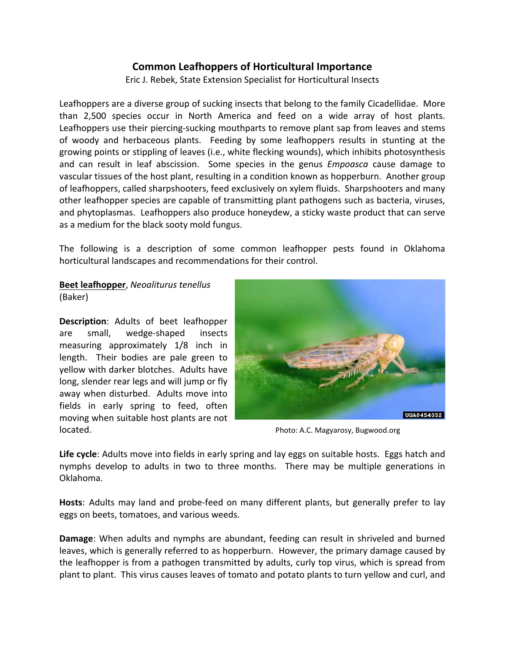# **Common Leafhoppers of Horticultural Importance**

Eric J. Rebek, State Extension Specialist for Horticultural Insects

Leafhoppers are a diverse group of sucking insects that belong to the family Cicadellidae. More than 2,500 species occur in North America and feed on a wide array of host plants. Leafhoppers use their piercing-sucking mouthparts to remove plant sap from leaves and stems of woody and herbaceous plants. Feeding by some leafhoppers results in stunting at the growing points or stippling of leaves (i.e., white flecking wounds), which inhibits photosynthesis and can result in leaf abscission. Some species in the genus *Empoasca* cause damage to vascular tissues of the host plant, resulting in a condition known as hopperburn. Another group of leafhoppers, called sharpshooters, feed exclusively on xylem fluids. Sharpshooters and many other leafhopper species are capable of transmitting plant pathogens such as bacteria, viruses, and phytoplasmas. Leafhoppers also produce honeydew, a sticky waste product that can serve as a medium for the black sooty mold fungus.

The following is a description of some common leafhopper pests found in Oklahoma horticultural landscapes and recommendations for their control.

**Beet leafhopper**, *Neoaliturus tenellus* (Baker)

**Description**: Adults of beet leafhopper are small, wedge‐shaped insects measuring approximately 1/8 inch in length. Their bodies are pale green to yellow with darker blotches. Adults have long, slender rear legs and will jump or fly away when disturbed. Adults move into fields in early spring to feed, often moving when suitable host plants are not located. Photo: A.C. Magyarosy, Bugwood.org



**Life cycle**: Adults move into fields in early spring and lay eggs on suitable hosts. Eggs hatch and nymphs develop to adults in two to three months. There may be multiple generations in Oklahoma.

Hosts: Adults may land and probe-feed on many different plants, but generally prefer to lay eggs on beets, tomatoes, and various weeds.

**Damage:** When adults and nymphs are abundant, feeding can result in shriveled and burned leaves, which is generally referred to as hopperburn. However, the primary damage caused by the leafhopper is from a pathogen transmitted by adults, curly top virus, which is spread from plant to plant. This virus causes leaves of tomato and potato plants to turn yellow and curl, and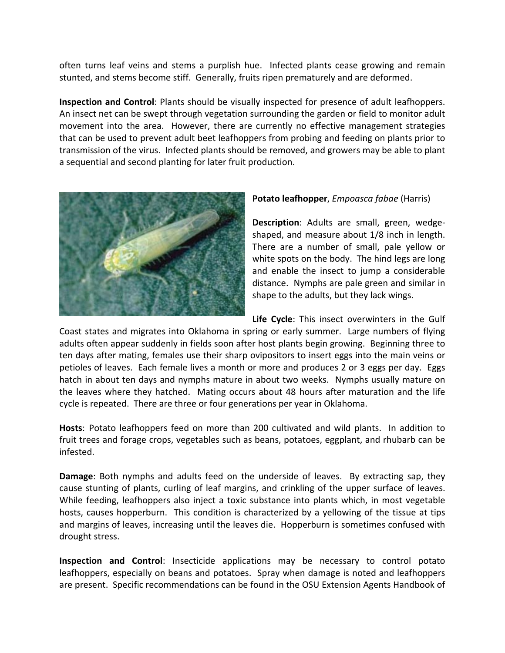often turns leaf veins and stems a purplish hue. Infected plants cease growing and remain stunted, and stems become stiff. Generally, fruits ripen prematurely and are deformed.

**Inspection and Control**: Plants should be visually inspected for presence of adult leafhoppers. An insect net can be swept through vegetation surrounding the garden or field to monitor adult movement into the area. However, there are currently no effective management strategies that can be used to prevent adult beet leafhoppers from probing and feeding on plants prior to transmission of the virus. Infected plants should be removed, and growers may be able to plant a sequential and second planting for later fruit production.



## **Potato leafhopper**, *Empoasca fabae* (Harris)

Description: Adults are small, green, wedgeshaped, and measure about 1/8 inch in length. There are a number of small, pale yellow or white spots on the body. The hind legs are long and enable the insect to jump a considerable distance. Nymphs are pale green and similar in shape to the adults, but they lack wings.

**Life Cycle**: This insect overwinters in the Gulf Coast states and migrates into Oklahoma in spring or early summer. Large numbers of flying adults often appear suddenly in fields soon after host plants begin growing. Beginning three to ten days after mating, females use their sharp ovipositors to insert eggs into the main veins or petioles of leaves. Each female lives a month or more and produces 2 or 3 eggs per day. Eggs hatch in about ten days and nymphs mature in about two weeks. Nymphs usually mature on the leaves where they hatched. Mating occurs about 48 hours after maturation and the life cycle is repeated. There are three or four generations per year in Oklahoma.

**Hosts**: Potato leafhoppers feed on more than 200 cultivated and wild plants. In addition to fruit trees and forage crops, vegetables such as beans, potatoes, eggplant, and rhubarb can be infested.

**Damage**: Both nymphs and adults feed on the underside of leaves. By extracting sap, they cause stunting of plants, curling of leaf margins, and crinkling of the upper surface of leaves. While feeding, leafhoppers also inject a toxic substance into plants which, in most vegetable hosts, causes hopperburn. This condition is characterized by a yellowing of the tissue at tips and margins of leaves, increasing until the leaves die. Hopperburn is sometimes confused with drought stress.

**Inspection and Control**: Insecticide applications may be necessary to control potato leafhoppers, especially on beans and potatoes. Spray when damage is noted and leafhoppers are present. Specific recommendations can be found in the OSU Extension Agents Handbook of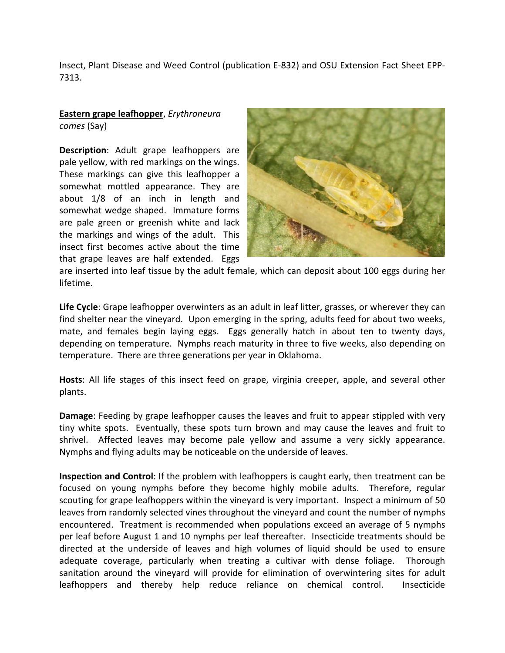Insect, Plant Disease and Weed Control (publication E‐832) and OSU Extension Fact Sheet EPP‐ 7313.

## **Eastern grape leafhopper**, *Erythroneura comes* (Say)

**Description**: Adult grape leafhoppers are pale yellow, with red markings on the wings. These markings can give this leafhopper a somewhat mottled appearance. They are about 1/8 of an inch in length and somewhat wedge shaped. Immature forms are pale green or greenish white and lack the markings and wings of the adult. This insect first becomes active about the time that grape leaves are half extended. Eggs



are inserted into leaf tissue by the adult female, which can deposit about 100 eggs during her lifetime.

**Life Cycle**: Grape leafhopper overwinters as an adult in leaf litter, grasses, or wherever they can find shelter near the vineyard. Upon emerging in the spring, adults feed for about two weeks, mate, and females begin laying eggs. Eggs generally hatch in about ten to twenty days, depending on temperature. Nymphs reach maturity in three to five weeks, also depending on temperature. There are three generations per year in Oklahoma.

**Hosts**: All life stages of this insect feed on grape, virginia creeper, apple, and several other plants.

**Damage**: Feeding by grape leafhopper causes the leaves and fruit to appear stippled with very tiny white spots. Eventually, these spots turn brown and may cause the leaves and fruit to shrivel. Affected leaves may become pale yellow and assume a very sickly appearance. Nymphs and flying adults may be noticeable on the underside of leaves.

**Inspection and Control**: If the problem with leafhoppers is caught early, then treatment can be focused on young nymphs before they become highly mobile adults. Therefore, regular scouting for grape leafhoppers within the vineyard is very important. Inspect a minimum of 50 leaves from randomly selected vines throughout the vineyard and count the number of nymphs encountered. Treatment is recommended when populations exceed an average of 5 nymphs per leaf before August 1 and 10 nymphs per leaf thereafter. Insecticide treatments should be directed at the underside of leaves and high volumes of liquid should be used to ensure adequate coverage, particularly when treating a cultivar with dense foliage. Thorough sanitation around the vineyard will provide for elimination of overwintering sites for adult leafhoppers and thereby help reduce reliance on chemical control. Insecticide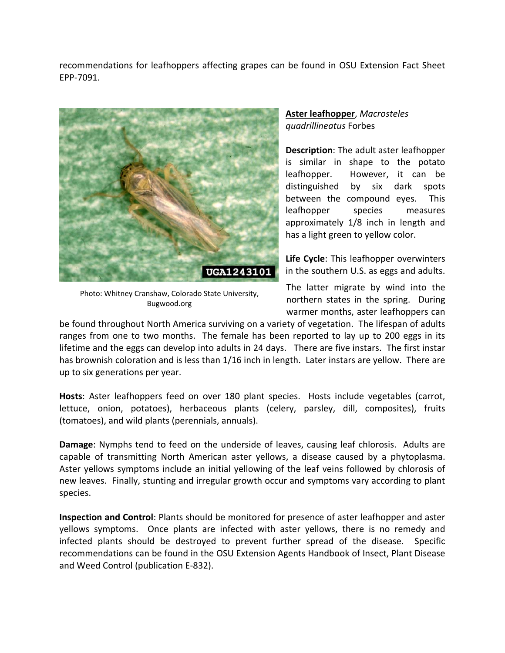recommendations for leafhoppers affecting grapes can be found in OSU Extension Fact Sheet EPP‐7091.



Photo: Whitney Cranshaw, Colorado State University, Bugwood.org

## **Aster leafhopper**, *Macrosteles quadrillineatus* Forbes

**Description**: The adult aster leafhopper is similar in shape to the potato leafhopper. However, it can be distinguished by six dark spots between the compound eyes. This leafhopper species measures approximately 1/8 inch in length and has a light green to yellow color.

**Life Cycle**: This leafhopper overwinters in the southern U.S. as eggs and adults.

The latter migrate by wind into the northern states in the spring. During warmer months, aster leafhoppers can

be found throughout North America surviving on a variety of vegetation. The lifespan of adults ranges from one to two months. The female has been reported to lay up to 200 eggs in its lifetime and the eggs can develop into adults in 24 days. There are five instars. The first instar has brownish coloration and is less than 1/16 inch in length. Later instars are yellow. There are up to six generations per year.

Hosts: Aster leafhoppers feed on over 180 plant species. Hosts include vegetables (carrot, lettuce, onion, potatoes), herbaceous plants (celery, parsley, dill, composites), fruits (tomatoes), and wild plants (perennials, annuals).

**Damage**: Nymphs tend to feed on the underside of leaves, causing leaf chlorosis. Adults are capable of transmitting North American aster yellows, a disease caused by a phytoplasma. Aster yellows symptoms include an initial yellowing of the leaf veins followed by chlorosis of new leaves. Finally, stunting and irregular growth occur and symptoms vary according to plant species.

**Inspection and Control**: Plants should be monitored for presence of aster leafhopper and aster yellows symptoms. Once plants are infected with aster yellows, there is no remedy and infected plants should be destroyed to prevent further spread of the disease. Specific recommendations can be found in the OSU Extension Agents Handbook of Insect, Plant Disease and Weed Control (publication E‐832).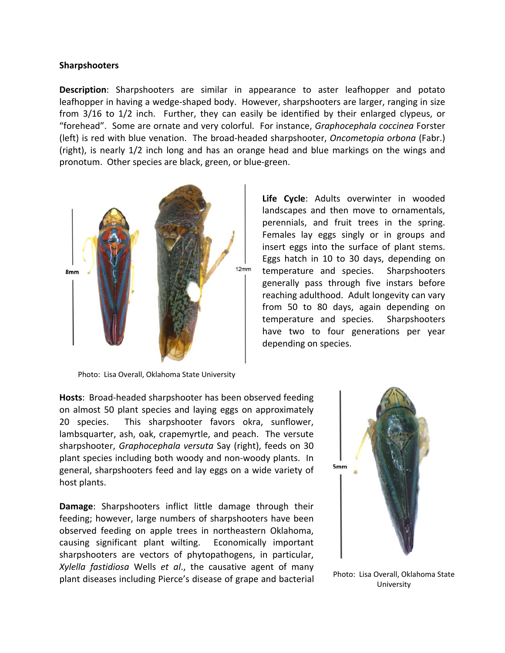#### **Sharpshooters**

**Description**: Sharpshooters are similar in appearance to aster leafhopper and potato leafhopper in having a wedge-shaped body. However, sharpshooters are larger, ranging in size from 3/16 to 1/2 inch. Further, they can easily be identified by their enlarged clypeus, or "forehead". Some are ornate and very colorful. For instance, *Graphocephala coccinea* Forster (left) is red with blue venation. The broad‐headed sharpshooter, *Oncometopia orbona* (Fabr.) (right), is nearly 1/2 inch long and has an orange head and blue markings on the wings and pronotum. Other species are black, green, or blue‐green.



**Life Cycle**: Adults overwinter in wooded landscapes and then move to ornamentals, perennials, and fruit trees in the spring. Females lay eggs singly or in groups and insert eggs into the surface of plant stems. Eggs hatch in 10 to 30 days, depending on temperature and species. Sharpshooters generally pass through five instars before reaching adulthood. Adult longevity can vary from 50 to 80 days, again depending on temperature and species. Sharpshooters have two to four generations per year depending on species.

Photo: Lisa Overall, Oklahoma State University

**Hosts**: Broad‐headed sharpshooter has been observed feeding on almost 50 plant species and laying eggs on approximately 20 species. This sharpshooter favors okra, sunflower, lambsquarter, ash, oak, crapemyrtle, and peach. The versute sharpshooter, *Graphocephala versuta* Say (right), feeds on 30 plant species including both woody and non‐woody plants. In general, sharpshooters feed and lay eggs on a wide variety of host plants.

**Damage**: Sharpshooters inflict little damage through their feeding; however, large numbers of sharpshooters have been observed feeding on apple trees in northeastern Oklahoma, causing significant plant wilting. Economically important sharpshooters are vectors of phytopathogens, in particular, *Xylella fastidiosa* Wells *et al*., the causative agent of many plant diseases including Pierce's disease of grape and bacterial Photo: Lisa Overall, Oklahoma State



University